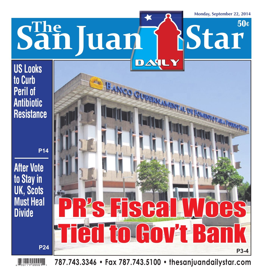**50¢**

# **The SanJuan Star**

#### **US Looks to Curb Peril of Antibiotic Resistance**

**After Vote to Stay in UK, Scots Must Heal Divide**



 $DAT$ 

**787.743.3346 • Fax 787.743.5100 • thesanjuandailystar.com**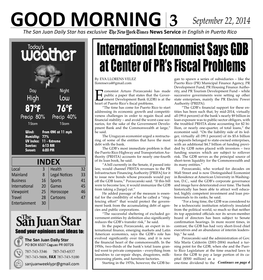## **GOOD MORNING 3** *September 22, 2014*

*The San Juan Daily Star has exclusive* **New York Times News Service** *in English in Puerto Rico*



#### San Juan Star **Send your opinions and ideas to:**



The San Juan Daily Star PO BOX 6537 Caguas PR 00726

787-743-3346 787-743-6537

787-743-5606, FAX 787-743-5100

sanjuanweeklypr@gmail.com

## International Economist Says GDB at Center of PR's Fiscal Problems

By EVA LLORENS VELEZ llorenseva4@gmail.com

**Exercise 19 Separate Arture Porzecanski has made**<br> **Exercise public a paper that states that the Gover-**<br> **Exercise heart of Puerto Rico's fiscal problems** public a paper that states that the Government Development Bank (GDB) is at the heart of Puerto Rico's fiscal problems.

"The time has come for Puerto Rico to start addressing its economic growth and competitiveness challenges in order to regain fiscal and financial stability – and avoid the worst-case scenarios, for the sake of the Government Development Bank and the Commonwealth at large," he said.

The Uruguyan economist urged a restructuring of some of the entities that have the most debt with the bank.

The GDB's most immediate problem is that the Puerto Rico Highway and Transportation Authority (PRHTA) accounts for nearly one-fourth of its loan book, he said.

"A bill currently in the Senate, if passed into law, would channel PRHTA revenues to the PR Infrastructure Financing Authority [PRIFA] for it to issue new bonds whose proceeds would pay off the GDB loans," Porzecanski said. "If this bill were to become law, it would immunize the GDB from taking a [large] cut."

He added passage of the measure is essential for the credibility of what he called a "ringfencing effort" that would protect the government bank from the accumulating debt of agencies and public corporations.

"The successful sheltering of excluded government entities by definition also significantly reduces the GDB's transfer risk," he said.

In the paper, Porzecanski, an expert in international finance, emerging markets and Latin American economics, says the GDB's role has evolved significantly over time, and it is now the financial heart of the commonwealth. In the 1950s, two-thirds of the bank's total loans granted went to private companies – everything from laundries to car-repair shops, drugstores, milkprocessing plants, and furniture factories.

Starting in the 1970s, however, the GDB be-

gan to spawn a series of subsidiaries – like the Puerto Rico (PR) Municipal Finance Agency, PR Development Fund, PR Housing Finance Authority, and PR Tourism Development Fund – while successive governments were setting up other state enterprises, mainly the PR Electric Power Authority (PREPA).

"The GDB's financial support for these entities has been such that, by mid-2014, virtually all (99.6 percent) of the bank's nearly \$9 billion in loan exposure was to public-sector obligors, with the troubled PRHTA alone accounting for \$2 billion, or nearly one-quarter, of total loans," the economist said. "On the liability side of its ledger, virtually all (99.1 percent) of its \$5.6 billion in deposits belonged to state-owned enterprises, with an additional \$4.7 billion of funding provided by GDB notes placed with investors – two funding sources which are subject to rollover risk. The GDB serves as the principal source of short-term liquidity for the Commonwealth and its many entities."

Porzecanski, who worked for decades on Wall Street and is now Distinguished Economist in Residence at American University in Washington, D.C., said the GDB's corporate governance and image have deteriorated over time. The bank historically has been able to attract well educated, highly competent investment and loan professionals to its ranks, he said.

"For a long time, the GDB was considered to be a technocratic institution relatively insulated from the political world, so much so that neither its top appointed officials nor its seven-member board of directors has been subject to Senate confirmation hearings. In more recent times, in contrast, the GDB has had very short-lived chief executives and an abundance of interim leadership," he said.

Porzecanski said the administration of Gov. Sila María Calderón (2001-2004) marked a turning point for the GDB, when she and the Puerto Rico Legislature at the time enacted laws to force the GDB to pay a large portion of its capital (\$500 million) as a

one-time dividend to the *Continues on page 4*